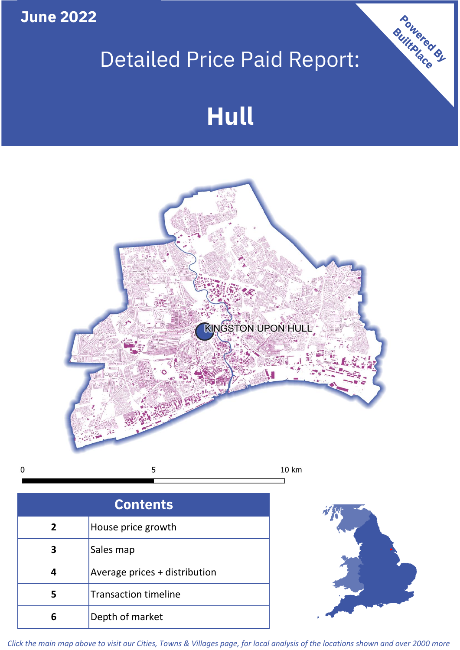**June 2022**

# Detailed Price Paid Report:

# **Hull**



 $\mathbf 0$ 

| <b>Contents</b> |                               |  |  |
|-----------------|-------------------------------|--|--|
| $\overline{2}$  | House price growth            |  |  |
| 3               | Sales map                     |  |  |
|                 | Average prices + distribution |  |  |
| 5               | <b>Transaction timeline</b>   |  |  |
|                 | Depth of market               |  |  |



Powered By

*Click the main map above to visit our Cities, Towns & Villages page, for local analysis of the locations shown and over 2000 more*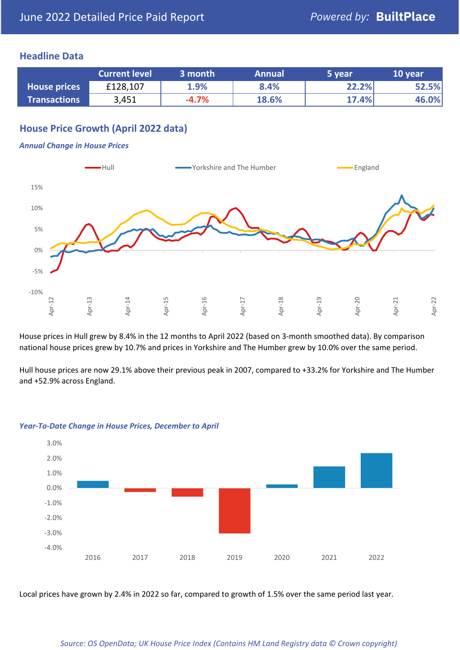#### **Headline Data**

|                     | <b>Current level</b> | 3 month | <b>Annual</b> | 5 year | 10 year |
|---------------------|----------------------|---------|---------------|--------|---------|
| <b>House prices</b> | £128,107             | 1.9%    | 8.4%          | 22.2%  | 52.5%   |
| <b>Transactions</b> | 3,451                | $-4.7%$ | 18.6%         | 17.4%  | 46.0%   |

# **House Price Growth (April 2022 data)**

#### *Annual Change in House Prices*



House prices in Hull grew by 8.4% in the 12 months to April 2022 (based on 3-month smoothed data). By comparison national house prices grew by 10.7% and prices in Yorkshire and The Humber grew by 10.0% over the same period.

Hull house prices are now 29.1% above their previous peak in 2007, compared to +33.2% for Yorkshire and The Humber and +52.9% across England.



#### *Year-To-Date Change in House Prices, December to April*

Local prices have grown by 2.4% in 2022 so far, compared to growth of 1.5% over the same period last year.

#### *Source: OS OpenData; UK House Price Index (Contains HM Land Registry data © Crown copyright)*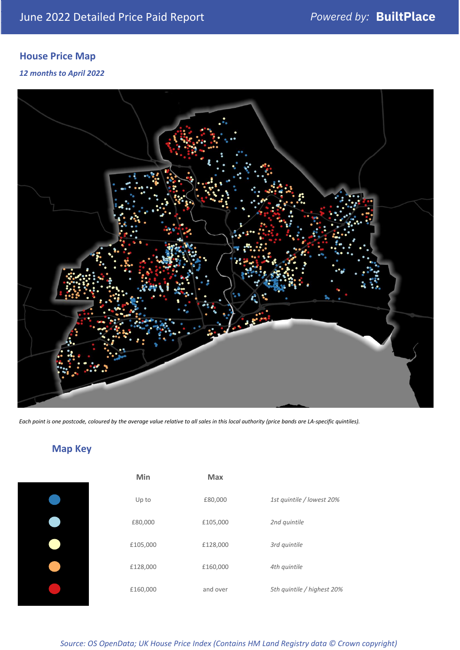# **House Price Map**

#### *12 months to April 2022*



*Each point is one postcode, coloured by the average value relative to all sales in this local authority (price bands are LA-specific quintiles).*

**Map Key**

| Min      | <b>Max</b> |                            |
|----------|------------|----------------------------|
| Up to    | £80,000    | 1st quintile / lowest 20%  |
| £80,000  | £105,000   | 2nd quintile               |
| £105,000 | £128,000   | 3rd quintile               |
| £128,000 | £160,000   | 4th quintile               |
| £160,000 | and over   | 5th quintile / highest 20% |

#### *Source: OS OpenData; UK House Price Index (Contains HM Land Registry data © Crown copyright)*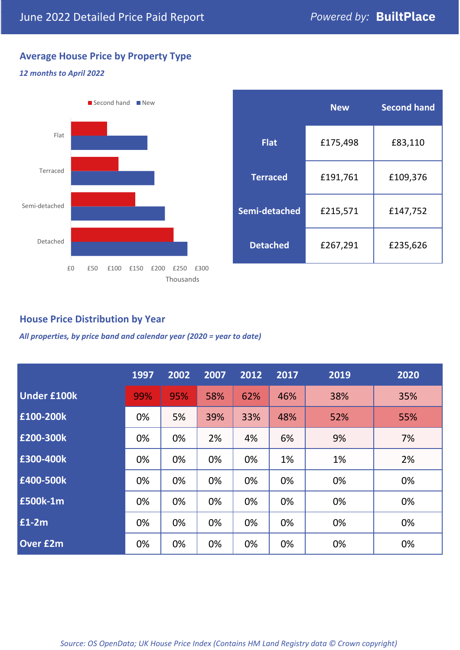# **Average House Price by Property Type**

#### *12 months to April 2022*



|                 | <b>New</b> | <b>Second hand</b> |  |  |
|-----------------|------------|--------------------|--|--|
| <b>Flat</b>     | £175,498   | £83,110            |  |  |
| <b>Terraced</b> | £191,761   | £109,376           |  |  |
| Semi-detached   | £215,571   | £147,752           |  |  |
| <b>Detached</b> | £267,291   | £235,626           |  |  |

## **House Price Distribution by Year**

*All properties, by price band and calendar year (2020 = year to date)*

|                    | 1997 | 2002 | 2007 | 2012 | 2017 | 2019 | 2020 |
|--------------------|------|------|------|------|------|------|------|
| <b>Under £100k</b> | 99%  | 95%  | 58%  | 62%  | 46%  | 38%  | 35%  |
| £100-200k          | 0%   | 5%   | 39%  | 33%  | 48%  | 52%  | 55%  |
| £200-300k          | 0%   | 0%   | 2%   | 4%   | 6%   | 9%   | 7%   |
| £300-400k          | 0%   | 0%   | 0%   | 0%   | 1%   | 1%   | 2%   |
| £400-500k          | 0%   | 0%   | 0%   | 0%   | 0%   | 0%   | 0%   |
| <b>£500k-1m</b>    | 0%   | 0%   | 0%   | 0%   | 0%   | 0%   | 0%   |
| £1-2m              | 0%   | 0%   | 0%   | 0%   | 0%   | 0%   | 0%   |
| <b>Over £2m</b>    | 0%   | 0%   | 0%   | 0%   | 0%   | 0%   | 0%   |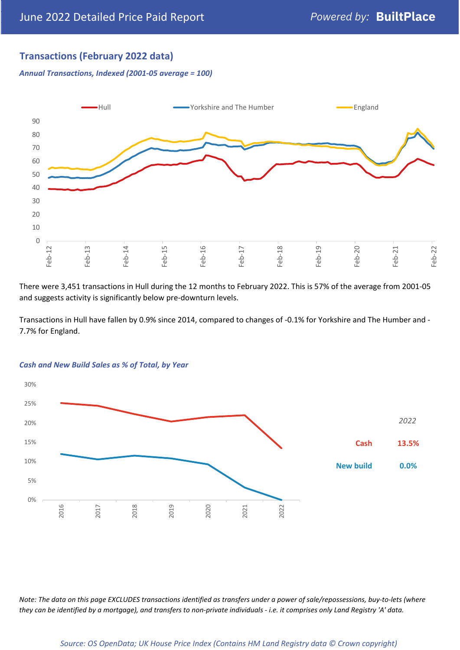# **Transactions (February 2022 data)**

*Annual Transactions, Indexed (2001-05 average = 100)*



There were 3,451 transactions in Hull during the 12 months to February 2022. This is 57% of the average from 2001-05 and suggests activity is significantly below pre-downturn levels.

Transactions in Hull have fallen by 0.9% since 2014, compared to changes of -0.1% for Yorkshire and The Humber and - 7.7% for England.



#### *Cash and New Build Sales as % of Total, by Year*

*Note: The data on this page EXCLUDES transactions identified as transfers under a power of sale/repossessions, buy-to-lets (where they can be identified by a mortgage), and transfers to non-private individuals - i.e. it comprises only Land Registry 'A' data.*